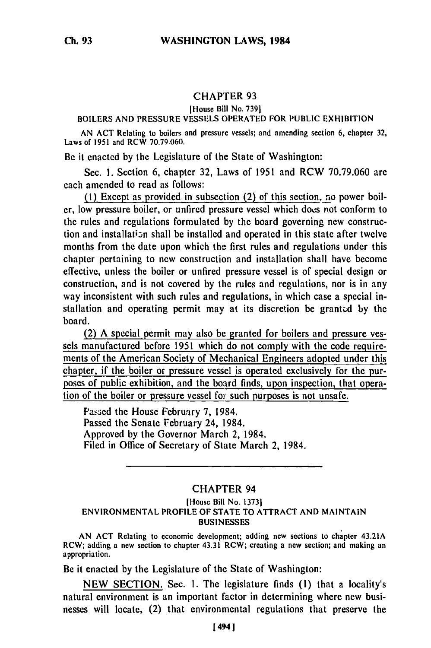# CHAPTER **93**

### [House Bill No. 7391

#### BOILERS AND PRESSURE VESSELS OPERATED FOR PUBLIC EXHIBITION

AN ACT Relating to boilers and pressure vessels; and amending section 6, chapter 32, Laws of 1951 and RCW 70.79.060.

Be it enacted by the Legislature of the State of Washington:

Sec. 1. Section 6, chapter 32, Laws of 1951 and RCW 70.79.060 are each amended to read as follows:

(1) Except as provided in subsection (2) of this section, no power boiler, low pressure boiler, or unfired pressure vessel which does not conform to the rules and regulations formulated by the board governing new construction and installation shall be installed and operated in this state after twelve months from the date upon which the first rules and regulations under this chapter pertaining to new construction and installation shall have become effective, unless the boiler or unfired pressure vessel is of special design or construction, and is not covered by the rules and regulations, nor is in any way inconsistent with such rules and regulations, in which case a special installation and operating permit may at its discretion be granted by the board.

(2) A special permit may also be granted for boilers and pressure vessels manufactured before 1951 which do not comply with the code requirements of the American Society of Mechanical Engineers adopted under this chapter, if the boiler or pressure vessel is operated exclusively for the purposes of public exhibition, and the board finds, upon inspection, that operation of the boiler or pressure vessel for such purposes is not unsafe.

Passed the House February 7, 1984. Passed the Senate February 24, 1984. Approved by the Governor March 2, 1984. Filed in Office of Secretary of State March 2, 1984.

# CHAPTER 94

#### [House Bill No. 1373] ENVIRONMENTAL PROFILE OF STATE TO ATTRACT AND MAINTAIN **BUSINESSES**

AN ACT Relating to economic development; adding new sections to chapter 43.21A RCW; adding a new section to chapter 43.31 RCW; creating a new section; and making an appropriation.

Be it enacted by the Legislature of the State of Washington:

NEW SECTION. Sec. 1. The legislature finds (1) that a locality's natural environment is an important factor in determining where new businesses will locate, (2) that environmental regulations that preserve the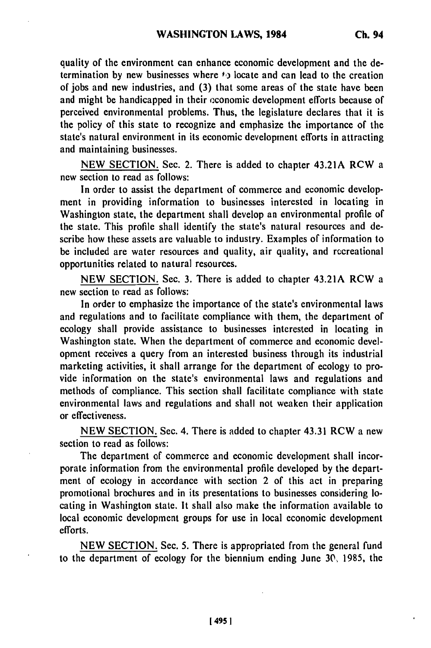quality of the environment can enhance economic development and the determination **by** new businesses where **to** locate and can lead to the creation of jobs and new industries, and **(3)** that some areas of the state have been and might be handicapped in their economic development efforts because of perceived environmental problems. Thus, the legislature declares that it is the policy of this state to recognize and emphasize the importance of the state's natural environment in its economic development efforts in attracting and maintaining businesses.

**NEW SECTION.** Sec. 2. There is added to chapter 43.21A RCW a new section to read as follows:

In order to assist the department of commerce and economic development in providing information to businesses interested in locating in Washington state, the department shall develop an environmental profile of the state. This profile shall identify the state's natural resources and describe how these assets are valuable to industry. Examples of information to be included are water resources and quality, air quality, and rccreational opportunities related to natural resources.

**NEW SECTION.** Sec. **3.** There is added to chapter 43.21A RCW a new section to read as follows:

In order to emphasize the importance of the state's environmental laws and regulations and to facilitate compliance with them, the department of ecology shall provide assistance to businesses interested in locating in Washington state. When the department of commerce and economic development receives a query from an interested business through its industrial marketing activities, it shall arrange for the department of ecology to provide information on the state's environmental laws and regulations and methods of compliance. This section shall facilitate compliance with state environmental laws and regulations and shall not weaken their application or effectiveness.

NEW SECTION. Sec. 4. There is added to chapter 43.31 RCW a new section to read as follows:

The department of commerce and economic development shall incorporate information from the environmental profile developed by the department of ecology in accordance with section 2 of this act in preparing promotional brochures and in its presentations to businesses considering locating in Washington state. It shall also make the information available to local economic development groups for use in local economic development efforts.

NEW SECTION. Sec. **5.** There is appropriated from the general fund to the department of ecology for the biennium ending June **30,** 1985, the